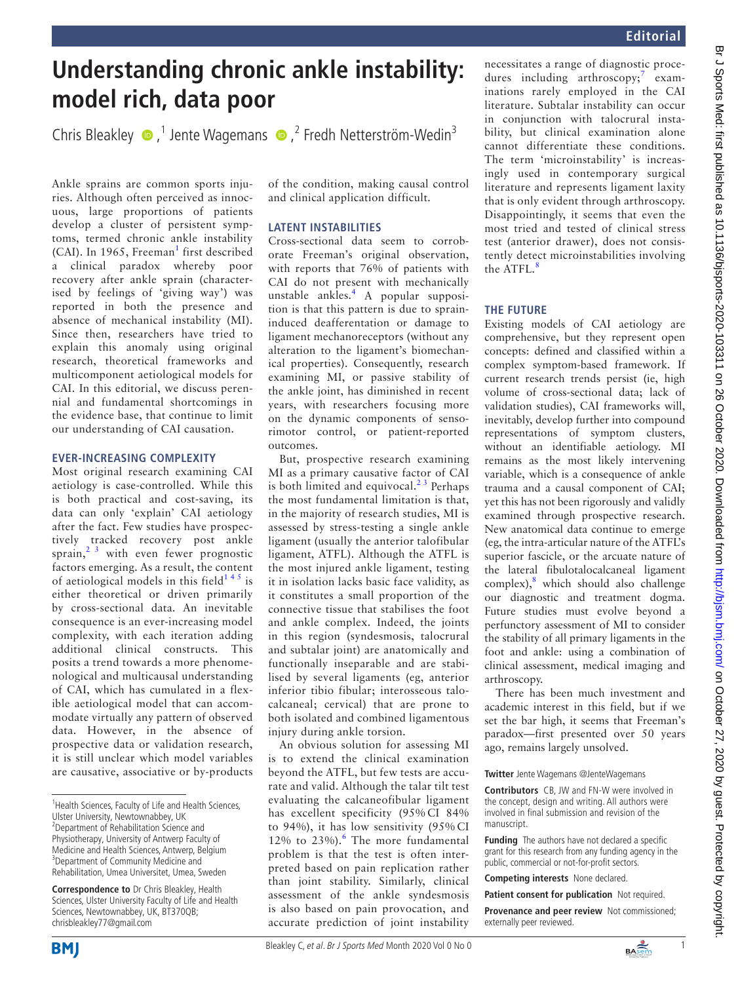# **Understanding chronic ankle instability: model rich, data poor**

ChrisBleakley  $\bullet$ ,<sup>1</sup> Jente Wagemans  $\bullet$ ,<sup>2</sup> Fredh Netterström-Wedin<sup>3</sup>

Ankle sprains are common sports injuries. Although often perceived as innocuous, large proportions of patients develop a cluster of persistent symptoms, termed chronic ankle instability  $(CAI)$ . In [1](#page-1-0)965, Freeman<sup>1</sup> first described a clinical paradox whereby poor recovery after ankle sprain (characterised by feelings of 'giving way') was reported in both the presence and absence of mechanical instability (MI). Since then, researchers have tried to explain this anomaly using original research, theoretical frameworks and multicomponent aetiological models for CAI. In this editorial, we discuss perennial and fundamental shortcomings in the evidence base, that continue to limit our understanding of CAI causation.

### **EVER-INCREASING COMPLEXITY**

Most original research examining CAI aetiology is case-controlled. While this is both practical and cost-saving, its data can only 'explain' CAI aetiology after the fact. Few studies have prospectively tracked recovery post ankle sprain, $2<sup>3</sup>$  with even fewer prognostic factors emerging. As a result, the content of aetiological models in this field<sup>145</sup> is either theoretical or driven primarily by cross-sectional data. An inevitable consequence is an ever-increasing model complexity, with each iteration adding additional clinical constructs. This posits a trend towards a more phenomenological and multicausal understanding of CAI, which has cumulated in a flexible aetiological model that can accommodate virtually any pattern of observed data. However, in the absence of prospective data or validation research, it is still unclear which model variables are causative, associative or by-products

of the condition, making causal control and clinical application difficult.

# **LATENT INSTABILITIES**

Cross-sectional data seem to corroborate Freeman's original observation, with reports that 76% of patients with CAI do not present with mechanically unstable ankles.[4](#page-1-2) A popular supposition is that this pattern is due to spraininduced deafferentation or damage to ligament mechanoreceptors (without any alteration to the ligament's biomechanical properties). Consequently, research examining MI, or passive stability of the ankle joint, has diminished in recent years, with researchers focusing more on the dynamic components of sensorimotor control, or patient-reported outcomes.

But, prospective research examining MI as a primary causative factor of CAI is both limited and equivocal. $2<sup>3</sup>$  Perhaps the most fundamental limitation is that, in the majority of research studies, MI is assessed by stress-testing a single ankle ligament (usually the anterior talofibular ligament, ATFL). Although the ATFL is the most injured ankle ligament, testing it in isolation lacks basic face validity, as it constitutes a small proportion of the connective tissue that stabilises the foot and ankle complex. Indeed, the joints in this region (syndesmosis, talocrural and subtalar joint) are anatomically and functionally inseparable and are stabilised by several ligaments (eg, anterior inferior tibio fibular; interosseous talocalcaneal; cervical) that are prone to both isolated and combined ligamentous injury during ankle torsion.

An obvious solution for assessing MI is to extend the clinical examination beyond the ATFL, but few tests are accurate and valid. Although the talar tilt test evaluating the calcaneofibular ligament has excellent specificity (95% CI 84% to 94%), it has low sensitivity (95% CI 12% to  $23\%$ ). The more fundamental problem is that the test is often interpreted based on pain replication rather than joint stability. Similarly, clinical assessment of the ankle syndesmosis is also based on pain provocation, and accurate prediction of joint instability

necessitates a range of diagnostic proce-dures including arthroscopy;<sup>[7](#page-1-4)</sup> examinations rarely employed in the CAI literature. Subtalar instability can occur in conjunction with talocrural instability, but clinical examination alone cannot differentiate these conditions. The term 'microinstability' is increasingly used in contemporary surgical literature and represents ligament laxity that is only evident through arthroscopy. Disappointingly, it seems that even the most tried and tested of clinical stress test (anterior drawer), does not consistently detect microinstabilities involving the ATFL.<sup>[8](#page-1-5)</sup>

# **THE FUTURE**

Existing models of CAI aetiology are comprehensive, but they represent open concepts: defined and classified within a complex symptom-based framework. If current research trends persist (ie, high volume of cross-sectional data; lack of validation studies), CAI frameworks will, inevitably, develop further into compound representations of symptom clusters, without an identifiable aetiology. MI remains as the most likely intervening variable, which is a consequence of ankle trauma and a causal component of CAI; yet this has not been rigorously and validly examined through prospective research. New anatomical data continue to emerge (eg, the intra-articular nature of the ATFL's superior fascicle, or the arcuate nature of the lateral fibulotalocalcaneal ligament complex),<sup>[8](#page-1-5)</sup> which should also challenge our diagnostic and treatment dogma. Future studies must evolve beyond a perfunctory assessment of MI to consider the stability of all primary ligaments in the foot and ankle: using a combination of clinical assessment, medical imaging and arthroscopy.

There has been much investment and academic interest in this field, but if we set the bar high, it seems that Freeman's paradox—first presented over 50 years ago, remains largely unsolved.

**Twitter** Jente Wagemans [@JenteWagemans](https://twitter.com/JenteWagemans)

**Contributors** CB, JW and FN-W were involved in the concept, design and writing. All authors were involved in final submission and revision of the manuscript.

**Funding** The authors have not declared a specific grant for this research from any funding agency in the public, commercial or not-for-profit sectors.

**Competing interests** None declared.

**Patient consent for publication** Not required.

**Provenance and peer review** Not commissioned; externally peer reviewed.





<sup>&</sup>lt;sup>1</sup> Health Sciences, Faculty of Life and Health Sciences, Ulster University, Newtownabbey, UK <sup>2</sup> Department of Rehabilitation Science and Physiotherapy, University of Antwerp Faculty of Medicine and Health Sciences, Antwerp, Belgium <sup>3</sup>Department of Community Medicine and Rehabilitation, Umea Universitet, Umea, Sweden

**Correspondence to** Dr Chris Bleakley, Health Sciences, Ulster University Faculty of Life and Health Sciences, Newtownabbey, UK, BT370QB; chrisbleakley77@gmail.com